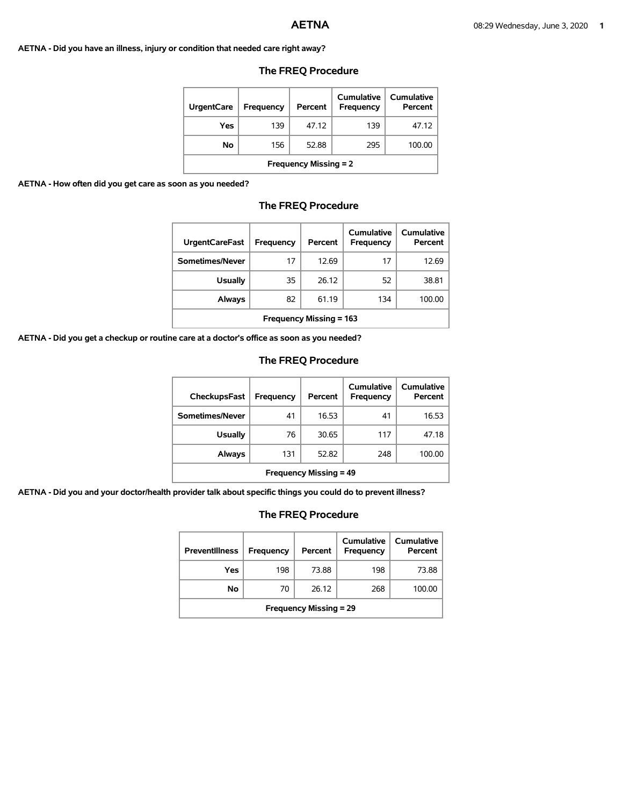### **AETNA - Did you have an illness, injury or condition that needed care right away?**

| <b>UrgentCare</b>            | Frequency | Percent | Cumulative<br><b>Frequency</b> | Cumulative<br>Percent |  |
|------------------------------|-----------|---------|--------------------------------|-----------------------|--|
| Yes                          | 139       | 47.12   | 139                            | 47.12                 |  |
| No                           | 156       | 52.88   | 295                            | 100.00                |  |
| <b>Frequency Missing = 2</b> |           |         |                                |                       |  |

## **The FREQ Procedure**

### **AETNA - How often did you get care as soon as you needed?**

# **The FREQ Procedure**

| <b>UrgentCareFast</b>          | Frequency | Percent | Cumulative<br><b>Frequency</b> | Cumulative<br>Percent |
|--------------------------------|-----------|---------|--------------------------------|-----------------------|
| Sometimes/Never                | 17        | 12.69   | 17                             | 12.69                 |
| <b>Usually</b>                 | 35        | 26.12   | 52                             | 38.81                 |
| Always                         | 82        | 61.19   | 134                            | 100.00                |
| <b>Frequency Missing = 163</b> |           |         |                                |                       |

**AETNA - Did you get a checkup or routine care at a doctor's office as soon as you needed?** 

## **The FREQ Procedure**

| CheckupsFast                  | <b>Frequency</b> | Percent | Cumulative<br>Frequency | Cumulative<br>Percent |
|-------------------------------|------------------|---------|-------------------------|-----------------------|
| Sometimes/Never               | 41               | 16.53   | 41                      | 16.53                 |
| <b>Usually</b>                | 76               | 30.65   | 117                     | 47.18                 |
| Always                        | 131              | 52.82   | 248                     | 100.00                |
| <b>Frequency Missing = 49</b> |                  |         |                         |                       |

**AETNA - Did you and your doctor/health provider talk about specific things you could do to prevent illness?** 

| <b>Preventillness</b>         | Frequency | Percent | Cumulative<br><b>Frequency</b> | Cumulative<br>Percent |
|-------------------------------|-----------|---------|--------------------------------|-----------------------|
| Yes                           | 198       | 73.88   | 198                            | 73.88                 |
| No                            | 70        | 26.12   | 268                            | 100.00                |
| <b>Frequency Missing = 29</b> |           |         |                                |                       |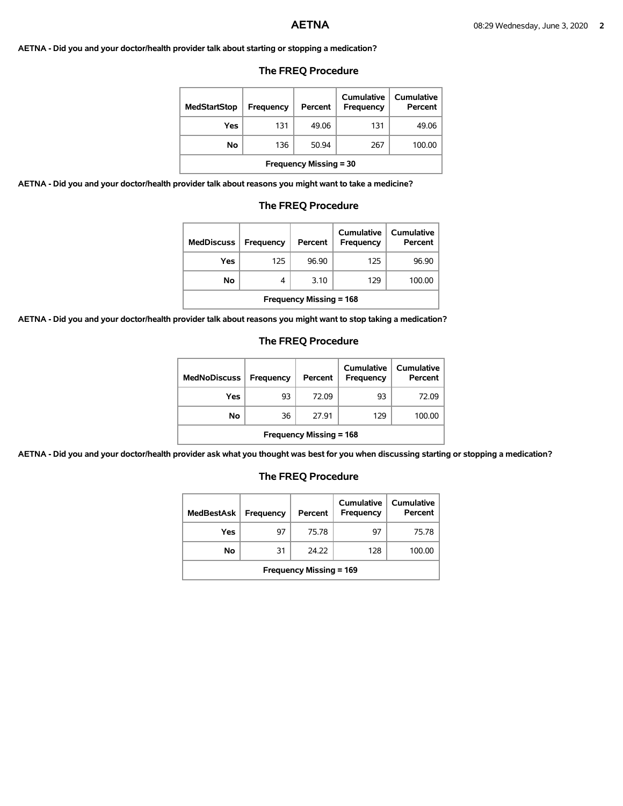**AETNA - Did you and your doctor/health provider talk about starting or stopping a medication?** 

## **The FREQ Procedure**

| <b>MedStartStop</b>           | Frequency | Percent | Cumulative<br>Frequency | Cumulative<br>Percent |
|-------------------------------|-----------|---------|-------------------------|-----------------------|
| Yes                           | 131       | 49.06   | 131                     | 49.06                 |
| No                            | 136       | 50.94   | 267                     | 100.00                |
| <b>Frequency Missing = 30</b> |           |         |                         |                       |

**AETNA - Did you and your doctor/health provider talk about reasons you might want to take a medicine?** 

### **The FREQ Procedure**

| <b>MedDiscuss</b>              | Frequency | Percent | Cumulative<br>Frequency | <b>Cumulative</b><br>Percent |
|--------------------------------|-----------|---------|-------------------------|------------------------------|
| Yes                            | 125       | 96.90   | 125                     | 96.90                        |
| <b>No</b>                      | 4         | 3.10    | 129                     | 100.00                       |
| <b>Frequency Missing = 168</b> |           |         |                         |                              |

**AETNA - Did you and your doctor/health provider talk about reasons you might want to stop taking a medication?** 

### **The FREQ Procedure**

| <b>MedNoDiscuss</b>            | Frequency | Percent | Cumulative<br>Frequency | Cumulative<br>Percent |
|--------------------------------|-----------|---------|-------------------------|-----------------------|
| Yes                            | 93        | 72.09   | 93                      | 72.09                 |
| No                             | 36        | 27.91   | 129                     | 100.00                |
| <b>Frequency Missing = 168</b> |           |         |                         |                       |

**AETNA - Did you and your doctor/health provider ask what you thought was best for you when discussing starting or stopping a medication?** 

| <b>MedBestAsk</b>              | Frequency | Percent | Cumulative<br><b>Frequency</b> | Cumulative<br>Percent |  |
|--------------------------------|-----------|---------|--------------------------------|-----------------------|--|
| Yes                            | 97        | 75.78   | 97                             | 75.78                 |  |
| No                             | 31        | 24.22   | 128                            | 100.00                |  |
| <b>Frequency Missing = 169</b> |           |         |                                |                       |  |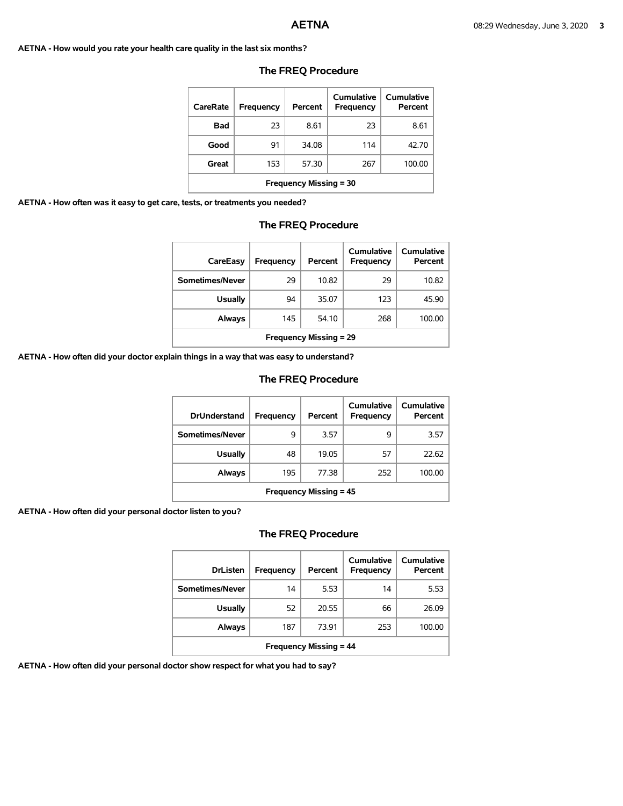**AETNA - How would you rate your health care quality in the last six months?** 

| CareRate                      | Frequency | Percent | Cumulative<br>Frequency | Cumulative<br>Percent |  |
|-------------------------------|-----------|---------|-------------------------|-----------------------|--|
| Bad                           | 23        | 8.61    | 23                      | 8.61                  |  |
| Good                          | 91        | 34.08   | 114                     | 42.70                 |  |
| Great                         | 153       | 57.30   | 267                     | 100.00                |  |
| <b>Frequency Missing = 30</b> |           |         |                         |                       |  |

### **The FREQ Procedure**

**AETNA - How often was it easy to get care, tests, or treatments you needed?** 

## **The FREQ Procedure**

| CareEasy                      | Frequency | Percent | Cumulative<br>Frequency | Cumulative<br>Percent |
|-------------------------------|-----------|---------|-------------------------|-----------------------|
| Sometimes/Never               | 29        | 10.82   | 29                      | 10.82                 |
| <b>Usually</b>                | 94        | 35.07   | 123                     | 45.90                 |
| Always                        | 145       | 54.10   | 268                     | 100.00                |
| <b>Frequency Missing = 29</b> |           |         |                         |                       |

**AETNA - How often did your doctor explain things in a way that was easy to understand?** 

## **The FREQ Procedure**

| <b>DrUnderstand</b>           | Frequency | Percent | Cumulative<br>Frequency | Cumulative<br>Percent |  |
|-------------------------------|-----------|---------|-------------------------|-----------------------|--|
| Sometimes/Never               | 9         | 3.57    | 9                       | 3.57                  |  |
| <b>Usually</b>                | 48        | 19.05   | 57                      | 22.62                 |  |
| Always                        | 195       | 77.38   | 252                     | 100.00                |  |
| <b>Frequency Missing = 45</b> |           |         |                         |                       |  |

**AETNA - How often did your personal doctor listen to you?** 

# **The FREQ Procedure**

| <b>DrListen</b>               | Frequency | Percent | Cumulative<br>Frequency | Cumulative<br>Percent |  |
|-------------------------------|-----------|---------|-------------------------|-----------------------|--|
| Sometimes/Never               | 14        | 5.53    | 14                      | 5.53                  |  |
| <b>Usually</b>                | 52        | 20.55   | 66                      | 26.09                 |  |
| <b>Always</b>                 | 187       | 73.91   | 253                     | 100.00                |  |
| <b>Frequency Missing = 44</b> |           |         |                         |                       |  |

**AETNA - How often did your personal doctor show respect for what you had to say?**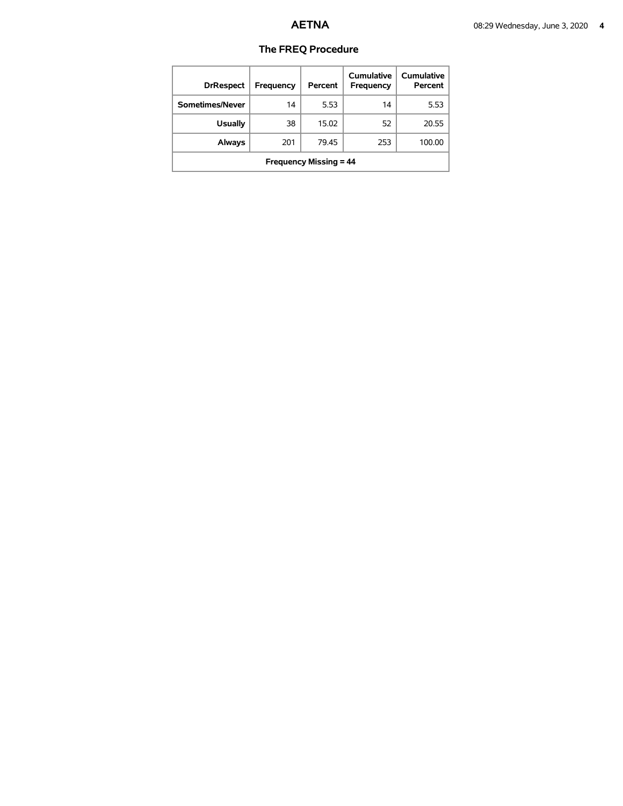| <b>DrRespect</b>              | Frequency | Percent | Cumulative<br>Frequency | Cumulative<br>Percent |  |
|-------------------------------|-----------|---------|-------------------------|-----------------------|--|
| Sometimes/Never               | 14        | 5.53    | 14                      | 5.53                  |  |
| <b>Usually</b>                | 38        | 15.02   | 52                      | 20.55                 |  |
| <b>Always</b>                 | 201       | 79.45   | 253                     | 100.00                |  |
| <b>Frequency Missing = 44</b> |           |         |                         |                       |  |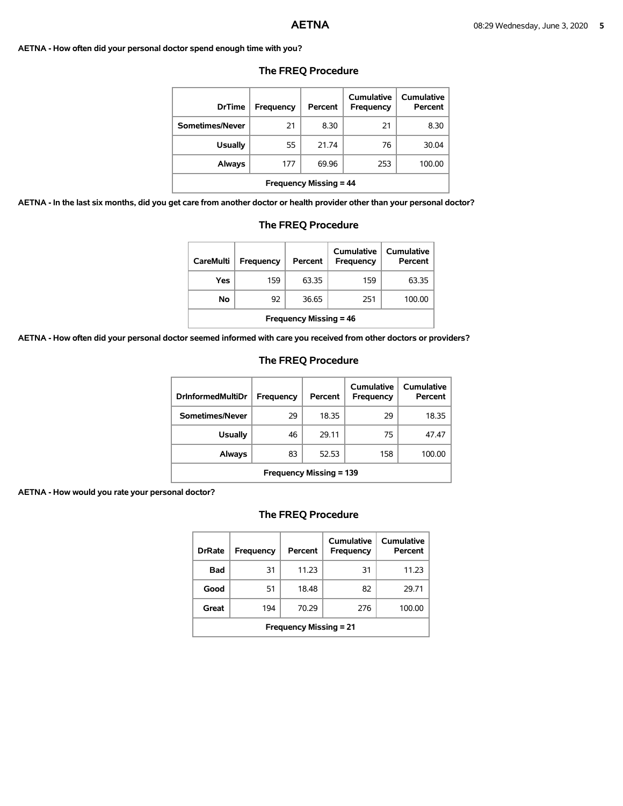## **AETNA - How often did your personal doctor spend enough time with you?**

| <b>DrTime</b>                 | Frequency | Percent | Cumulative<br><b>Frequency</b> | Cumulative<br>Percent |  |
|-------------------------------|-----------|---------|--------------------------------|-----------------------|--|
| Sometimes/Never               | 21        | 8.30    | 21                             | 8.30                  |  |
| <b>Usually</b>                | 55        | 21.74   | 76                             | 30.04                 |  |
| <b>Always</b>                 | 177       | 69.96   | 253                            | 100.00                |  |
| <b>Frequency Missing = 44</b> |           |         |                                |                       |  |

## **The FREQ Procedure**

**AETNA - In the last six months, did you get care from another doctor or health provider other than your personal doctor?** 

| <b>The FREQ Procedure</b>                                            |     |       |     |        |  |
|----------------------------------------------------------------------|-----|-------|-----|--------|--|
| care from another doctor or health provider other than your personal |     |       |     |        |  |
| <b>Frequency Missing = 44</b>                                        |     |       |     |        |  |
| <b>Always</b>                                                        | 177 | 69.96 | 253 | 100.00 |  |
| <b>Usually</b>                                                       | 55  | 21.74 | 76  | 30.04  |  |
| iometimes/Never                                                      |     | 8.30  | 21  | 8.30   |  |

| <b>CareMulti</b>              | Frequency | Percent | Cumulative<br>Frequency | Cumulative<br>Percent |  |
|-------------------------------|-----------|---------|-------------------------|-----------------------|--|
| Yes                           | 159       | 63.35   | 159                     | 63.35                 |  |
| No                            | 92        | 36.65   | 251                     | 100.00                |  |
| <b>Frequency Missing = 46</b> |           |         |                         |                       |  |

**AETNA - How often did your personal doctor seemed informed with care you received from other doctors or providers?** 

## **The FREQ Procedure**

| <b>DrInformedMultiDr</b>       | Frequency | Percent | Cumulative<br>Frequency | Cumulative<br>Percent |
|--------------------------------|-----------|---------|-------------------------|-----------------------|
| Sometimes/Never                | 29        | 18.35   | 29                      | 18.35                 |
| <b>Usually</b>                 | 46        | 29.11   | 75                      | 47.47                 |
| Always                         | 83        | 52.53   | 158                     | 100.00                |
| <b>Frequency Missing = 139</b> |           |         |                         |                       |

**AETNA - How would you rate your personal doctor?** 

| <b>DrRate</b>                 | <b>Frequency</b> | Percent | Cumulative<br>Frequency | Cumulative<br>Percent |  |  |
|-------------------------------|------------------|---------|-------------------------|-----------------------|--|--|
| Bad                           | 31               | 11.23   | 31                      | 11.23                 |  |  |
| Good                          | 51               | 18.48   | 82                      | 29.71                 |  |  |
| Great                         | 194              | 70.29   | 276                     | 100.00                |  |  |
| <b>Frequency Missing = 21</b> |                  |         |                         |                       |  |  |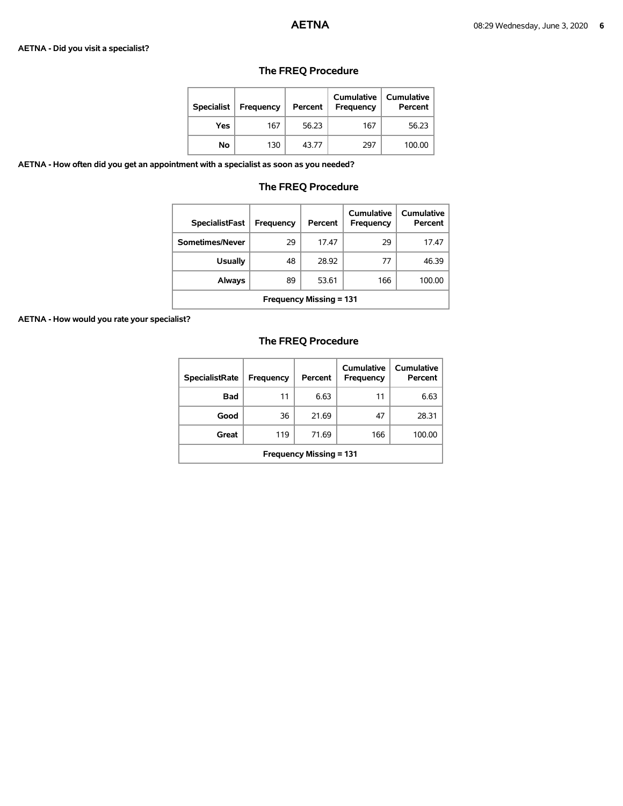### **AETNA - Did you visit a specialist?**

| <b>Specialist</b> | Frequency | Percent | <b>Cumulative</b><br><b>Frequency</b> | <b>Cumulative</b><br>Percent |
|-------------------|-----------|---------|---------------------------------------|------------------------------|
| Yes               | 167       | 56.23   | 167                                   | 56.23                        |
| No                | 130       | 43.77   | 297                                   | 100.00                       |

# **The FREQ Procedure**

**AETNA - How often did you get an appointment with a specialist as soon as you needed?** 

## **The FREQ Procedure**

| <b>SpecialistFast</b>          | Frequency | Percent | Cumulative<br>Frequency | Cumulative<br>Percent |  |
|--------------------------------|-----------|---------|-------------------------|-----------------------|--|
| Sometimes/Never                | 29        | 17.47   | 29                      | 17.47                 |  |
| <b>Usually</b>                 | 48        | 28.92   | 77                      | 46.39                 |  |
| Always                         | 89        | 53.61   | 166                     | 100.00                |  |
| <b>Frequency Missing = 131</b> |           |         |                         |                       |  |

**AETNA - How would you rate your specialist?** 

| <b>SpecialistRate</b>          | Frequency | Percent | Cumulative<br><b>Frequency</b> | Cumulative<br>Percent |  |
|--------------------------------|-----------|---------|--------------------------------|-----------------------|--|
| Bad                            | 11        | 6.63    | 11                             | 6.63                  |  |
| Good                           | 36        | 21.69   | 47                             | 28.31                 |  |
| Great                          | 119       | 71.69   | 166                            | 100.00                |  |
| <b>Frequency Missing = 131</b> |           |         |                                |                       |  |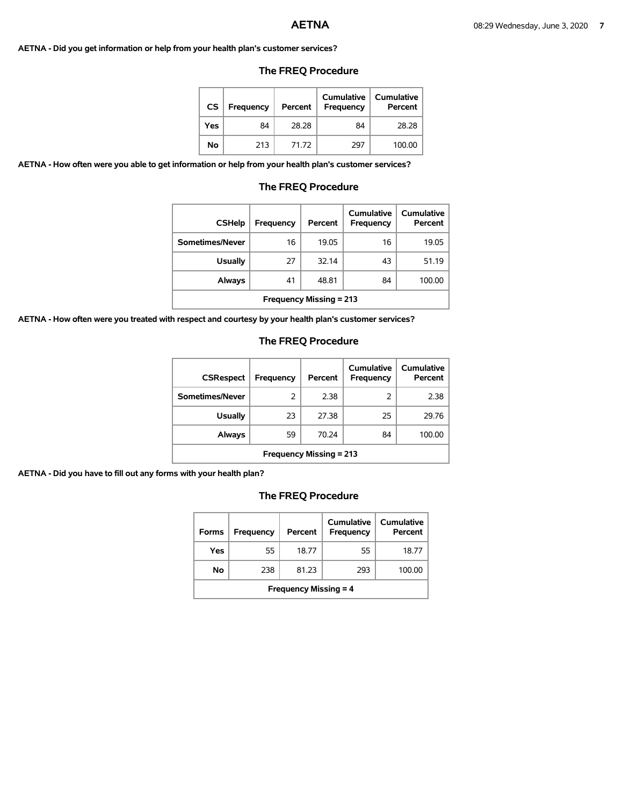### **AETNA - Did you get information or help from your health plan's customer services?**

| CS  | <b>Frequency</b> | Percent | <b>Cumulative</b><br>Frequency | <b>Cumulative</b><br>Percent |
|-----|------------------|---------|--------------------------------|------------------------------|
| Yes | 84               | 28.28   | 84                             | 28.28                        |
| No  | 213              | 71.72   | 297                            | 100.00                       |

# **The FREQ Procedure**

**AETNA - How often were you able to get information or help from your health plan's customer services?** 

### **The FREQ Procedure**

| <b>CSHelp</b>                         | Frequency | Percent | <b>Cumulative</b><br>Frequency | Cumulative<br>Percent |  |
|---------------------------------------|-----------|---------|--------------------------------|-----------------------|--|
| Sometimes/Never                       | 16        | 19.05   | 16                             | 19.05                 |  |
| <b>Usually</b>                        | 27        | 32.14   | 43                             | 51.19                 |  |
| 84<br>48.81<br>Always<br>100.00<br>41 |           |         |                                |                       |  |
| <b>Frequency Missing = 213</b>        |           |         |                                |                       |  |

**AETNA - How often were you treated with respect and courtesy by your health plan's customer services?** 

## **The FREQ Procedure**

| <b>CSRespect</b>               | Frequency | Percent | Cumulative<br>Frequency | Cumulative<br>Percent |  |
|--------------------------------|-----------|---------|-------------------------|-----------------------|--|
| Sometimes/Never                | 2         | 2.38    | 2                       | 2.38                  |  |
| <b>Usually</b>                 | 23        | 27.38   | 25                      | 29.76                 |  |
| <b>Always</b>                  | 59        | 70.24   | 84                      | 100.00                |  |
| <b>Frequency Missing = 213</b> |           |         |                         |                       |  |

**AETNA - Did you have to fill out any forms with your health plan?** 

| <b>Forms</b>                 | Frequency | Percent | Cumulative<br>Frequency | Cumulative<br>Percent |  |  |
|------------------------------|-----------|---------|-------------------------|-----------------------|--|--|
| Yes                          | 55        | 18.77   | 55                      | 18.77                 |  |  |
| No.                          | 238       | 81.23   | 293                     | 100.00                |  |  |
| <b>Frequency Missing = 4</b> |           |         |                         |                       |  |  |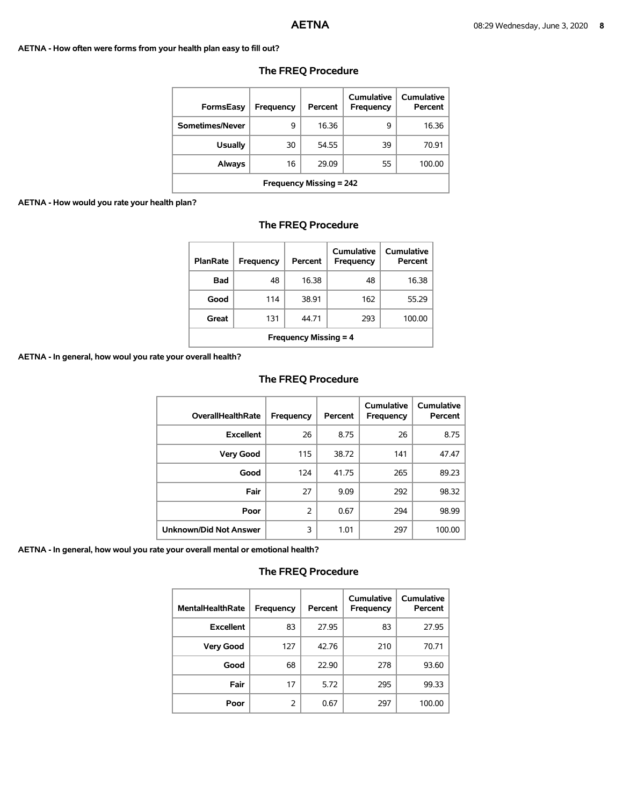### **AETNA - How often were forms from your health plan easy to fill out?**

| <b>FormsEasy</b>                             | Frequency | Percent | Cumulative<br>Frequency | Cumulative<br>Percent |  |  |  |
|----------------------------------------------|-----------|---------|-------------------------|-----------------------|--|--|--|
| Sometimes/Never                              | 9         | 16.36   | 9                       | 16.36                 |  |  |  |
| <b>Usually</b>                               | 30        | 54.55   | 39                      | 70.91                 |  |  |  |
| 29.09<br>55<br>16<br>100.00<br><b>Always</b> |           |         |                         |                       |  |  |  |
| <b>Frequency Missing = 242</b>               |           |         |                         |                       |  |  |  |

# **The FREQ Procedure**

### **AETNA - How would you rate your health plan?**

# **The FREQ Procedure**

| <b>PlanRate</b>                        | Frequency | Percent | Cumulative<br><b>Frequency</b> | Cumulative<br>Percent |  |  |  |
|----------------------------------------|-----------|---------|--------------------------------|-----------------------|--|--|--|
| Bad                                    | 48        | 16.38   | 48                             | 16.38                 |  |  |  |
| Good                                   | 114       | 38.91   | 162                            | 55.29                 |  |  |  |
| 293<br>100.00<br>Great<br>131<br>44.71 |           |         |                                |                       |  |  |  |
| <b>Frequency Missing = 4</b>           |           |         |                                |                       |  |  |  |

**AETNA - In general, how woul you rate your overall health?** 

### **The FREQ Procedure**

| <b>OverallHealthRate</b>      | <b>Frequency</b> | Percent | <b>Cumulative</b><br>Frequency | <b>Cumulative</b><br>Percent |
|-------------------------------|------------------|---------|--------------------------------|------------------------------|
| <b>Excellent</b>              | 26               | 8.75    | 26                             | 8.75                         |
| <b>Very Good</b>              | 115              | 38.72   | 141                            | 47.47                        |
| Good                          | 124              | 41.75   | 265                            | 89.23                        |
| Fair                          | 27               | 9.09    | 292                            | 98.32                        |
| Poor                          | 2                | 0.67    | 294                            | 98.99                        |
| <b>Unknown/Did Not Answer</b> | 3                | 1.01    | 297                            | 100.00                       |

**AETNA - In general, how woul you rate your overall mental or emotional health?** 

| <b>MentalHealthRate</b> | Frequency | Percent | <b>Cumulative</b><br>Frequency | <b>Cumulative</b><br>Percent |
|-------------------------|-----------|---------|--------------------------------|------------------------------|
| <b>Excellent</b>        | 83        | 27.95   | 83                             | 27.95                        |
| <b>Very Good</b>        | 127       | 42.76   | 210                            | 70.71                        |
| Good                    | 68        | 22.90   | 278                            | 93.60                        |
| Fair                    | 17        | 5.72    | 295                            | 99.33                        |
| Poor                    | 2         | 0.67    | 297                            | 100.00                       |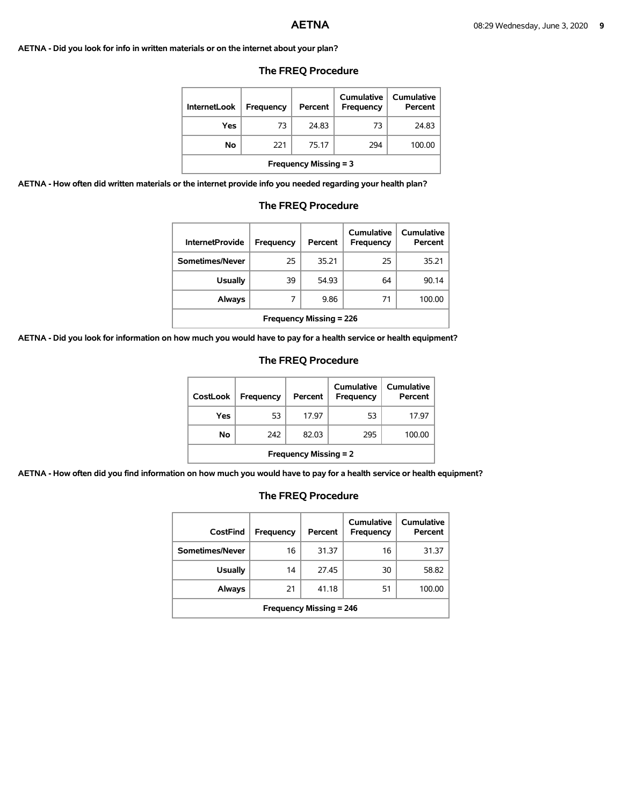**AETNA - Did you look for info in written materials or on the internet about your plan?** 

| <b>InternetLook</b>          | Frequency | Percent | Cumulative<br><b>Frequency</b> | Cumulative<br>Percent |  |  |
|------------------------------|-----------|---------|--------------------------------|-----------------------|--|--|
| Yes                          | 73        | 24.83   | 73                             | 24.83                 |  |  |
| No                           | 221       | 75.17   | 294                            | 100.00                |  |  |
| <b>Frequency Missing = 3</b> |           |         |                                |                       |  |  |

### **The FREQ Procedure**

**AETNA - How often did written materials or the internet provide info you needed regarding your health plan?** 

| <b>The FREQ Procedure</b> |  |
|---------------------------|--|
|---------------------------|--|

| <b>InternetProvide</b>         | Frequency | Percent | Cumulative<br>Frequency | Cumulative<br>Percent |  |
|--------------------------------|-----------|---------|-------------------------|-----------------------|--|
| Sometimes/Never                | 25        | 35.21   | 25                      | 35.21                 |  |
| <b>Usually</b>                 | 39        | 54.93   | 64                      | 90.14                 |  |
| Always                         | 7         | 9.86    | 71                      | 100.00                |  |
| <b>Frequency Missing = 226</b> |           |         |                         |                       |  |

**AETNA - Did you look for information on how much you would have to pay for a health service or health equipment?** 

### **The FREQ Procedure**

| <b>CostLook</b>              | Frequency | Percent | Cumulative<br><b>Frequency</b> | <b>Cumulative</b><br>Percent |  |  |
|------------------------------|-----------|---------|--------------------------------|------------------------------|--|--|
| Yes                          | 53        | 17.97   | 53                             | 17.97                        |  |  |
| Νo                           | 242       | 82.03   | 295                            | 100.00                       |  |  |
| <b>Frequency Missing = 2</b> |           |         |                                |                              |  |  |

**AETNA - How often did you find information on how much you would have to pay for a health service or health equipment?** 

| CostFind                       | Frequency | Percent | <b>Cumulative</b><br>Frequency | <b>Cumulative</b><br>Percent |  |  |
|--------------------------------|-----------|---------|--------------------------------|------------------------------|--|--|
| Sometimes/Never                | 16        | 31.37   | 16                             | 31.37                        |  |  |
| <b>Usually</b>                 | 14        | 27.45   | 30                             | 58.82                        |  |  |
| <b>Always</b>                  | 21        | 41.18   | 51                             | 100.00                       |  |  |
| <b>Frequency Missing = 246</b> |           |         |                                |                              |  |  |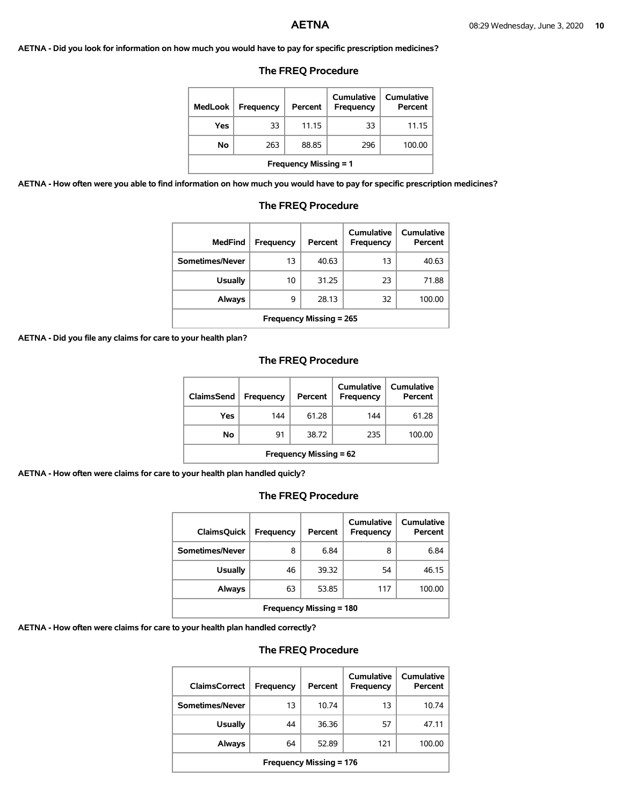**AETNA - Did you look for information on how much you would have to pay for specific prescription medicines?** 

## **The FREQ Procedure**

| MedLook                      | <b>Frequency</b> | Percent | Cumulative<br>Frequency | Cumulative<br>Percent |  |  |
|------------------------------|------------------|---------|-------------------------|-----------------------|--|--|
| Yes                          | 33               | 11.15   | 33                      | 11.15                 |  |  |
| No                           | 263              | 88.85   | 296                     | 100.00                |  |  |
| <b>Frequency Missing = 1</b> |                  |         |                         |                       |  |  |

**AETNA - How often were you able to find information on how much you would have to pay for specific prescription medicines?** 

| <b>MedFind</b>                              | Frequency | Percent | Cumulative<br>Frequency | Cumulative<br>Percent |  |  |  |
|---------------------------------------------|-----------|---------|-------------------------|-----------------------|--|--|--|
| Sometimes/Never                             | 13        | 40.63   | 13                      | 40.63                 |  |  |  |
| <b>Usually</b>                              | 10        | 31.25   | 23                      | 71.88                 |  |  |  |
| 32<br>28.13<br><b>Always</b><br>9<br>100.00 |           |         |                         |                       |  |  |  |
| <b>Frequency Missing = 265</b>              |           |         |                         |                       |  |  |  |

# **The FREQ Procedure**

**AETNA - Did you file any claims for care to your health plan?** 

## **The FREQ Procedure**

| ClaimsSend                    | <b>Frequency</b> | Percent | Cumulative<br><b>Frequency</b> | <b>Cumulative</b><br>Percent |  |
|-------------------------------|------------------|---------|--------------------------------|------------------------------|--|
| Yes                           | 144              | 61.28   | 144                            | 61.28                        |  |
| No                            | 91               | 38.72   | 235                            | 100.00                       |  |
| <b>Frequency Missing = 62</b> |                  |         |                                |                              |  |

**AETNA - How often were claims for care to your health plan handled quicly?** 

# **The FREQ Procedure**

| <b>ClaimsQuick</b>             | <b>Frequency</b> | Percent | Cumulative<br>Frequency | Cumulative<br>Percent |  |
|--------------------------------|------------------|---------|-------------------------|-----------------------|--|
| Sometimes/Never                | 8                | 6.84    | 8                       | 6.84                  |  |
| <b>Usually</b>                 | 46               | 39.32   | 54                      | 46.15                 |  |
| <b>Always</b>                  | 63               | 53.85   | 117                     | 100.00                |  |
| <b>Frequency Missing = 180</b> |                  |         |                         |                       |  |

**AETNA - How often were claims for care to your health plan handled correctly?** 

| <b>ClaimsCorrect</b>           | Frequency | Percent | Cumulative<br>Frequency | Cumulative<br>Percent |  |
|--------------------------------|-----------|---------|-------------------------|-----------------------|--|
| Sometimes/Never                | 13        | 10.74   | 13                      | 10.74                 |  |
| <b>Usually</b>                 | 44        | 36.36   | 57                      | 47.11                 |  |
| <b>Always</b>                  | 64        | 52.89   | 121                     | 100.00                |  |
| <b>Frequency Missing = 176</b> |           |         |                         |                       |  |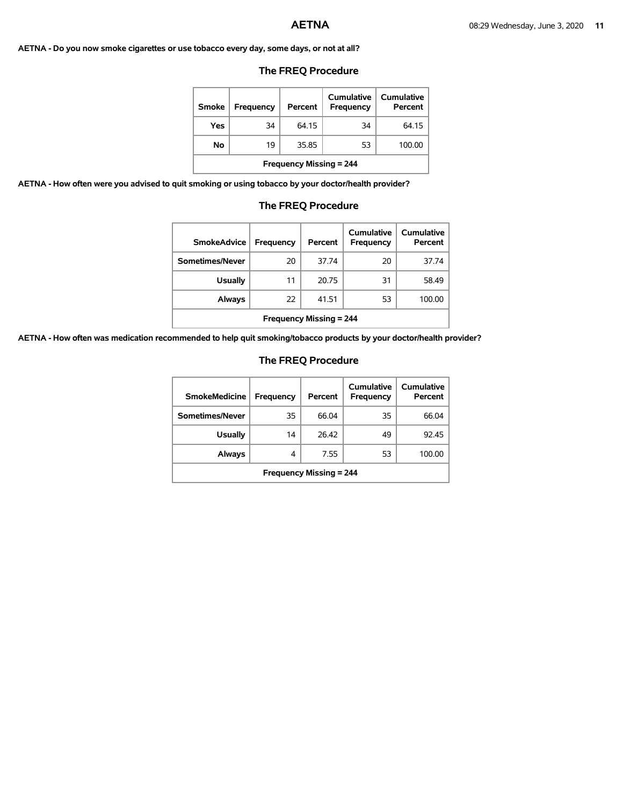### **AETNA - Do you now smoke cigarettes or use tobacco every day, some days, or not at all?**

## **The FREQ Procedure**

| <b>Smoke</b>                   | Frequency | Percent | Cumulative<br><b>Frequency</b> | Cumulative<br>Percent |  |
|--------------------------------|-----------|---------|--------------------------------|-----------------------|--|
| Yes                            | 34        | 64 15   | 34                             | 64.15                 |  |
| No                             | 19        | 35.85   | 53                             | 100.00                |  |
| <b>Frequency Missing = 244</b> |           |         |                                |                       |  |

**AETNA - How often were you advised to quit smoking or using tobacco by your doctor/health provider?** 

## **The FREQ Procedure**

| <b>SmokeAdvice</b>             | Frequency | Percent | Cumulative<br><b>Frequency</b> | <b>Cumulative</b><br>Percent |  |
|--------------------------------|-----------|---------|--------------------------------|------------------------------|--|
| Sometimes/Never                | 20        | 37.74   | 20                             | 37.74                        |  |
| <b>Usually</b>                 | 11        | 20.75   | 31                             | 58.49                        |  |
| <b>Always</b>                  | 22        | 41.51   | 53                             | 100.00                       |  |
| <b>Frequency Missing = 244</b> |           |         |                                |                              |  |

**AETNA - How often was medication recommended to help quit smoking/tobacco products by your doctor/health provider?** 

| <b>SmokeMedicine</b>           | Frequency | Percent | Cumulative<br>Frequency | Cumulative<br>Percent |  |
|--------------------------------|-----------|---------|-------------------------|-----------------------|--|
| Sometimes/Never                | 35        | 66.04   | 35                      | 66.04                 |  |
| <b>Usually</b>                 | 14        | 26.42   | 49                      | 92.45                 |  |
| <b>Always</b>                  | 4         | 7.55    | 53                      | 100.00                |  |
| <b>Frequency Missing = 244</b> |           |         |                         |                       |  |